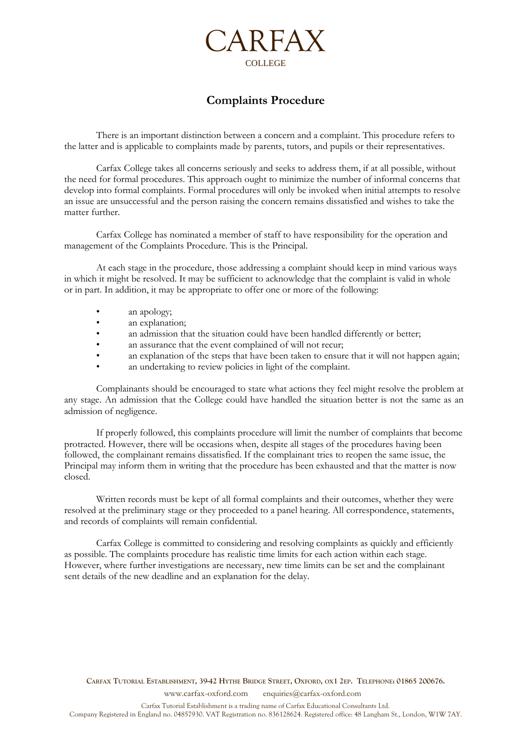

# **Complaints Procedure**

There is an important distinction between a concern and a complaint. This procedure refers to the latter and is applicable to complaints made by parents, tutors, and pupils or their representatives.

Carfax College takes all concerns seriously and seeks to address them, if at all possible, without the need for formal procedures. This approach ought to minimize the number of informal concerns that develop into formal complaints. Formal procedures will only be invoked when initial attempts to resolve an issue are unsuccessful and the person raising the concern remains dissatisfied and wishes to take the matter further.

Carfax College has nominated a member of staff to have responsibility for the operation and management of the Complaints Procedure. This is the Principal.

At each stage in the procedure, those addressing a complaint should keep in mind various ways in which it might be resolved. It may be sufficient to acknowledge that the complaint is valid in whole or in part. In addition, it may be appropriate to offer one or more of the following:

- an apology;
- an explanation;
- an admission that the situation could have been handled differently or better;
- an assurance that the event complained of will not recur;
- an explanation of the steps that have been taken to ensure that it will not happen again;
- an undertaking to review policies in light of the complaint.

Complainants should be encouraged to state what actions they feel might resolve the problem at any stage. An admission that the College could have handled the situation better is not the same as an admission of negligence.

If properly followed, this complaints procedure will limit the number of complaints that become protracted. However, there will be occasions when, despite all stages of the procedures having been followed, the complainant remains dissatisfied. If the complainant tries to reopen the same issue, the Principal may inform them in writing that the procedure has been exhausted and that the matter is now closed.

Written records must be kept of all formal complaints and their outcomes, whether they were resolved at the preliminary stage or they proceeded to a panel hearing. All correspondence, statements, and records of complaints will remain confidential.

Carfax College is committed to considering and resolving complaints as quickly and efficiently as possible. The complaints procedure has realistic time limits for each action within each stage. However, where further investigations are necessary, new time limits can be set and the complainant sent details of the new deadline and an explanation for the delay.

CARFAX TUTORIAL ESTABLISHMENT, 39-42 HYTHE BRIDGE STREET, OXFORD, OX1 2EP. TELEPHONE: 01865 200676. www.carfax-oxford.com enquiries@carfax-oxford.com

Carfax Tutorial Establishment is a trading name of Carfax Educational Consultants Ltd. Company Registered in England no. 04857930. VAT Registration no. 836128624. Registered office: 48 Langham St., London, W1W 7AY.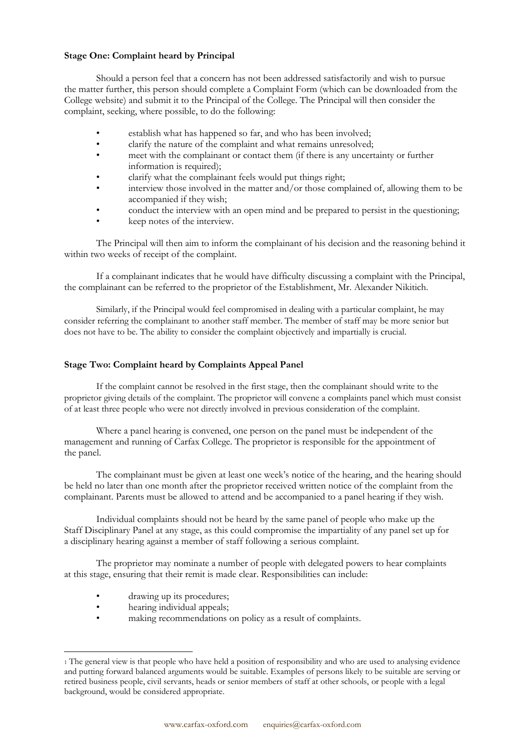#### **Stage One: Complaint heard by Principal**

Should a person feel that a concern has not been addressed satisfactorily and wish to pursue the matter further, this person should complete a Complaint Form (which can be downloaded from the College website) and submit it to the Principal of the College. The Principal will then consider the complaint, seeking, where possible, to do the following:

- establish what has happened so far, and who has been involved;
- clarify the nature of the complaint and what remains unresolved;
- meet with the complainant or contact them (if there is any uncertainty or further information is required);
- clarify what the complainant feels would put things right;
- interview those involved in the matter and/or those complained of, allowing them to be accompanied if they wish;
- conduct the interview with an open mind and be prepared to persist in the questioning;
- keep notes of the interview.

The Principal will then aim to inform the complainant of his decision and the reasoning behind it within two weeks of receipt of the complaint.

If a complainant indicates that he would have difficulty discussing a complaint with the Principal, the complainant can be referred to the proprietor of the Establishment, Mr. Alexander Nikitich.

Similarly, if the Principal would feel compromised in dealing with a particular complaint, he may consider referring the complainant to another staff member. The member of staff may be more senior but does not have to be. The ability to consider the complaint objectively and impartially is crucial.

## **Stage Two: Complaint heard by Complaints Appeal Panel**

If the complaint cannot be resolved in the first stage, then the complainant should write to the proprietor giving details of the complaint. The proprietor will convene a complaints panel which must consist of at least three people who were not directly involved in previous consideration of the complaint.

Where a panel hearing is convened, one person on the panel must be independent of the management and running of Carfax College. The proprietor is responsible for the appointment of the panel.

The complainant must be given at least one week's notice of the hearing, and the hearing should be held no later than one month after the proprietor received written notice of the complaint from the complainant. Parents must be allowed to attend and be accompanied to a panel hearing if they wish.

Individual complaints should not be heard by the same panel of people who make up the Staff Disciplinary Panel at any stage, as this could compromise the impartiality of any panel set up for a disciplinary hearing against a member of staff following a serious complaint.

The proprietor may nominate a number of people with delegated powers to hear complaints at this stage, ensuring that their remit is made clear. Responsibilities can include:

- drawing up its procedures;
- hearing individual appeals;
- making recommendations on policy as a result of complaints.

<sup>1</sup> The general view is that people who have held a position of responsibility and who are used to analysing evidence and putting forward balanced arguments would be suitable. Examples of persons likely to be suitable are serving or retired business people, civil servants, heads or senior members of staff at other schools, or people with a legal background, would be considered appropriate.